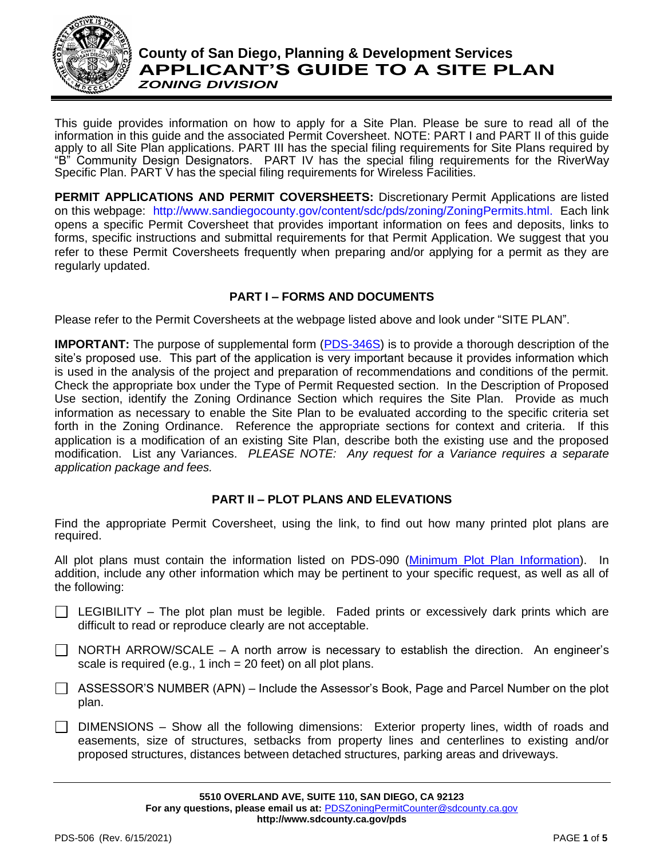

## **County of San Diego, Planning & Development Services APPLICANT'S GUIDE TO A SITE PLAN** *ZONING DIVISION*

This guide provides information on how to apply for a Site Plan. Please be sure to read all of the information in this guide and the associated Permit Coversheet. NOTE: PART I and PART II of this guide apply to all Site Plan applications. PART III has the special filing requirements for Site Plans required by "B" Community Design Designators. PART IV has the special filing requirements for the RiverWay Specific Plan. PART V has the special filing requirements for Wireless Facilities.

**PERMIT APPLICATIONS AND PERMIT COVERSHEETS:** Discretionary Permit Applications are listed on this webpage: [http://www.sandiegocounty.gov/content/sdc/pds/zoning/ZoningPermits.html.](http://www.sandiegocounty.gov/content/sdc/pds/zoning/ZoningPermits.html) Each link opens a specific Permit Coversheet that provides important information on fees and deposits, links to forms, specific instructions and submittal requirements for that Permit Application. We suggest that you refer to these Permit Coversheets frequently when preparing and/or applying for a permit as they are regularly updated.

## **PART I – FORMS AND DOCUMENTS**

Please refer to the Permit Coversheets at the webpage listed above and look under "SITE PLAN".

**IMPORTANT:** The purpose of supplemental form [\(PDS-346S\)](https://www.sandiegocounty.gov/content/dam/sdc/pds/zoning/formfields/PDS-PLN-346S.pdf) is to provide a thorough description of the site's proposed use. This part of the application is very important because it provides information which is used in the analysis of the project and preparation of recommendations and conditions of the permit. Check the appropriate box under the Type of Permit Requested section. In the Description of Proposed Use section, identify the Zoning Ordinance Section which requires the Site Plan. Provide as much information as necessary to enable the Site Plan to be evaluated according to the specific criteria set forth in the Zoning Ordinance. Reference the appropriate sections for context and criteria. If this application is a modification of an existing Site Plan, describe both the existing use and the proposed modification. List any Variances. *PLEASE NOTE: Any request for a Variance requires a separate application package and fees.*

## **PART II – PLOT PLANS AND ELEVATIONS**

Find the appropriate Permit Coversheet, using the link, to find out how many printed plot plans are required.

All plot plans must contain the information listed on PDS-090 [\(Minimum Plot Plan Information\)](https://www.sandiegocounty.gov/content/dam/sdc/pds/docs/pds090.pdf). In addition, include any other information which may be pertinent to your specific request, as well as all of the following:

- $\Box$  LEGIBILITY The plot plan must be legible. Faded prints or excessively dark prints which are difficult to read or reproduce clearly are not acceptable.
- $\Box$  NORTH ARROW/SCALE A north arrow is necessary to establish the direction. An engineer's scale is required (e.g., 1 inch = 20 feet) on all plot plans.
- $\Box$  ASSESSOR'S NUMBER (APN) Include the Assessor's Book, Page and Parcel Number on the plot plan.
- $\mathbb{R}^n$ DIMENSIONS – Show all the following dimensions: Exterior property lines, width of roads and easements, size of structures, setbacks from property lines and centerlines to existing and/or proposed structures, distances between detached structures, parking areas and driveways.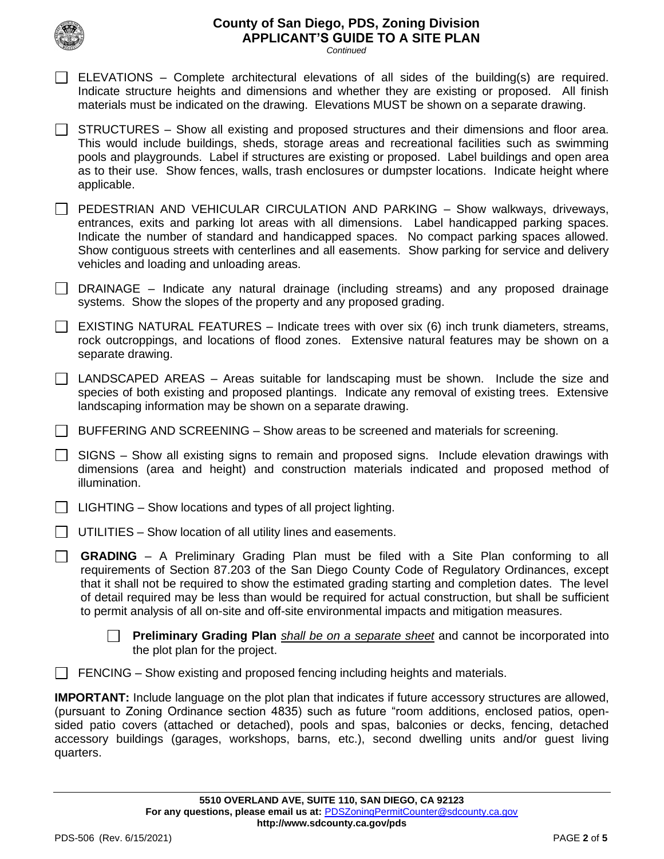|                                                                                                                                                                                                                                                                                                                                                                                                                                           | <b>County of San Diego, PDS, Zoning Division</b><br><b>APPLICANT'S GUIDE TO A SITE PLAN</b><br>Continued                                                                                                                                                                                                                                                                                                                                                                                                 |
|-------------------------------------------------------------------------------------------------------------------------------------------------------------------------------------------------------------------------------------------------------------------------------------------------------------------------------------------------------------------------------------------------------------------------------------------|----------------------------------------------------------------------------------------------------------------------------------------------------------------------------------------------------------------------------------------------------------------------------------------------------------------------------------------------------------------------------------------------------------------------------------------------------------------------------------------------------------|
| $\Box$                                                                                                                                                                                                                                                                                                                                                                                                                                    | ELEVATIONS – Complete architectural elevations of all sides of the building(s) are required.<br>Indicate structure heights and dimensions and whether they are existing or proposed. All finish<br>materials must be indicated on the drawing. Elevations MUST be shown on a separate drawing.                                                                                                                                                                                                           |
| $\Box$                                                                                                                                                                                                                                                                                                                                                                                                                                    | STRUCTURES – Show all existing and proposed structures and their dimensions and floor area.<br>This would include buildings, sheds, storage areas and recreational facilities such as swimming<br>pools and playgrounds. Label if structures are existing or proposed. Label buildings and open area<br>as to their use. Show fences, walls, trash enclosures or dumpster locations. Indicate height where<br>applicable.                                                                                |
| $\overline{\phantom{a}}$                                                                                                                                                                                                                                                                                                                                                                                                                  | PEDESTRIAN AND VEHICULAR CIRCULATION AND PARKING - Show walkways, driveways,<br>entrances, exits and parking lot areas with all dimensions. Label handicapped parking spaces.<br>Indicate the number of standard and handicapped spaces. No compact parking spaces allowed.<br>Show contiguous streets with centerlines and all easements. Show parking for service and delivery<br>vehicles and loading and unloading areas.                                                                            |
| $\Box$                                                                                                                                                                                                                                                                                                                                                                                                                                    | DRAINAGE – Indicate any natural drainage (including streams) and any proposed drainage<br>systems. Show the slopes of the property and any proposed grading.                                                                                                                                                                                                                                                                                                                                             |
| $\Box$                                                                                                                                                                                                                                                                                                                                                                                                                                    | EXISTING NATURAL FEATURES - Indicate trees with over six (6) inch trunk diameters, streams,<br>rock outcroppings, and locations of flood zones. Extensive natural features may be shown on a<br>separate drawing.                                                                                                                                                                                                                                                                                        |
| $\Box$                                                                                                                                                                                                                                                                                                                                                                                                                                    | LANDSCAPED AREAS - Areas suitable for landscaping must be shown. Include the size and<br>species of both existing and proposed plantings. Indicate any removal of existing trees. Extensive<br>landscaping information may be shown on a separate drawing.                                                                                                                                                                                                                                               |
| $\Box$                                                                                                                                                                                                                                                                                                                                                                                                                                    | BUFFERING AND SCREENING - Show areas to be screened and materials for screening.                                                                                                                                                                                                                                                                                                                                                                                                                         |
|                                                                                                                                                                                                                                                                                                                                                                                                                                           | SIGNS – Show all existing signs to remain and proposed signs. Include elevation drawings with<br>dimensions (area and height) and construction materials indicated and proposed method of<br>illumination.                                                                                                                                                                                                                                                                                               |
|                                                                                                                                                                                                                                                                                                                                                                                                                                           | LIGHTING – Show locations and types of all project lighting.                                                                                                                                                                                                                                                                                                                                                                                                                                             |
| $\Box$                                                                                                                                                                                                                                                                                                                                                                                                                                    | UTILITIES - Show location of all utility lines and easements.                                                                                                                                                                                                                                                                                                                                                                                                                                            |
| $\Box$                                                                                                                                                                                                                                                                                                                                                                                                                                    | GRADING - A Preliminary Grading Plan must be filed with a Site Plan conforming to all<br>requirements of Section 87.203 of the San Diego County Code of Regulatory Ordinances, except<br>that it shall not be required to show the estimated grading starting and completion dates. The level<br>of detail required may be less than would be required for actual construction, but shall be sufficient<br>to permit analysis of all on-site and off-site environmental impacts and mitigation measures. |
|                                                                                                                                                                                                                                                                                                                                                                                                                                           | <b>Preliminary Grading Plan</b> shall be on a separate sheet and cannot be incorporated into<br>the plot plan for the project.                                                                                                                                                                                                                                                                                                                                                                           |
|                                                                                                                                                                                                                                                                                                                                                                                                                                           | FENCING - Show existing and proposed fencing including heights and materials.                                                                                                                                                                                                                                                                                                                                                                                                                            |
| <b>IMPORTANT:</b> Include language on the plot plan that indicates if future accessory structures are allowed,<br>(pursuant to Zoning Ordinance section 4835) such as future "room additions, enclosed patios, open-<br>sided patio covers (attached or detached), pools and spas, balconies or decks, fencing, detached<br>accessory buildings (garages, workshops, barns, etc.), second dwelling units and/or guest living<br>quarters. |                                                                                                                                                                                                                                                                                                                                                                                                                                                                                                          |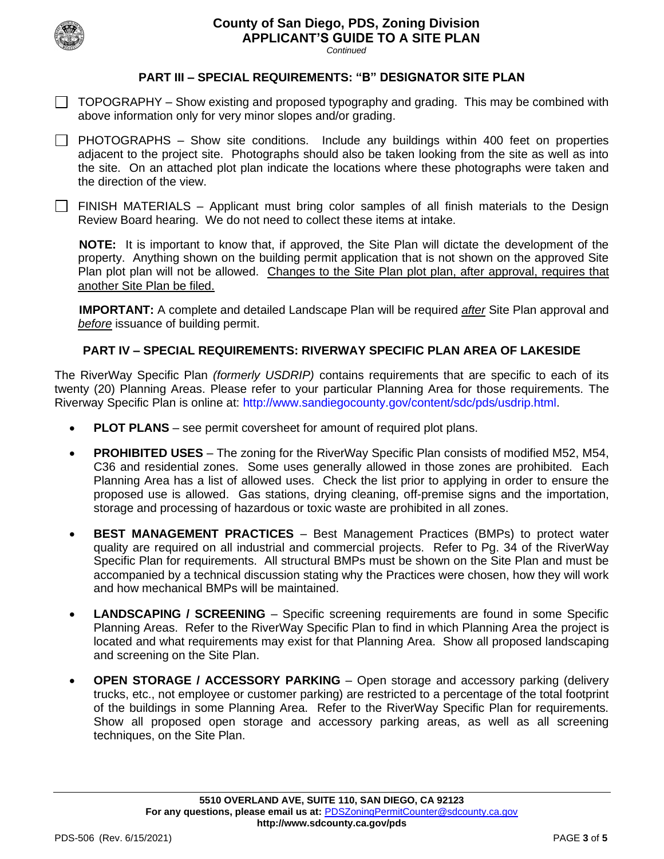

### **County of San Diego, PDS, Zoning Division APPLICANT'S GUIDE TO A SITE PLAN**

*Continued*

#### **PART III – SPECIAL REQUIREMENTS: "B" DESIGNATOR SITE PLAN**

- $\Box$  TOPOGRAPHY Show existing and proposed typography and grading. This may be combined with above information only for very minor slopes and/or grading.
- $\Box$  PHOTOGRAPHS Show site conditions. Include any buildings within 400 feet on properties adjacent to the project site. Photographs should also be taken looking from the site as well as into the site. On an attached plot plan indicate the locations where these photographs were taken and the direction of the view.

 $\Box$  FINISH MATERIALS – Applicant must bring color samples of all finish materials to the Design Review Board hearing. We do not need to collect these items at intake.

**NOTE:** It is important to know that, if approved, the Site Plan will dictate the development of the property. Anything shown on the building permit application that is not shown on the approved Site Plan plot plan will not be allowed. Changes to the Site Plan plot plan, after approval, requires that another Site Plan be filed.

**IMPORTANT:** A complete and detailed Landscape Plan will be required *after* Site Plan approval and *before* issuance of building permit.

#### **PART IV – SPECIAL REQUIREMENTS: RIVERWAY SPECIFIC PLAN AREA OF LAKESIDE**

The RiverWay Specific Plan *(formerly USDRIP)* contains requirements that are specific to each of its twenty (20) Planning Areas. Please refer to your particular Planning Area for those requirements. The Riverway Specific Plan is online at: [http://www.sandiegocounty.gov/content/sdc/pds/usdrip.html.](http://www.sandiegocounty.gov/content/sdc/pds/usdrip.html)

- **PLOT PLANS** see permit coversheet for amount of required plot plans.
- **PROHIBITED USES** The zoning for the RiverWay Specific Plan consists of modified M52, M54, C36 and residential zones. Some uses generally allowed in those zones are prohibited. Each Planning Area has a list of allowed uses. Check the list prior to applying in order to ensure the proposed use is allowed. Gas stations, drying cleaning, off-premise signs and the importation, storage and processing of hazardous or toxic waste are prohibited in all zones.
- **BEST MANAGEMENT PRACTICES** Best Management Practices (BMPs) to protect water quality are required on all industrial and commercial projects. Refer to Pg. 34 of the RiverWay Specific Plan for requirements. All structural BMPs must be shown on the Site Plan and must be accompanied by a technical discussion stating why the Practices were chosen, how they will work and how mechanical BMPs will be maintained.
- **LANDSCAPING / SCREENING** Specific screening requirements are found in some Specific Planning Areas. Refer to the RiverWay Specific Plan to find in which Planning Area the project is located and what requirements may exist for that Planning Area. Show all proposed landscaping and screening on the Site Plan.
- **OPEN STORAGE / ACCESSORY PARKING** Open storage and accessory parking (delivery trucks, etc., not employee or customer parking) are restricted to a percentage of the total footprint of the buildings in some Planning Area. Refer to the RiverWay Specific Plan for requirements. Show all proposed open storage and accessory parking areas, as well as all screening techniques, on the Site Plan.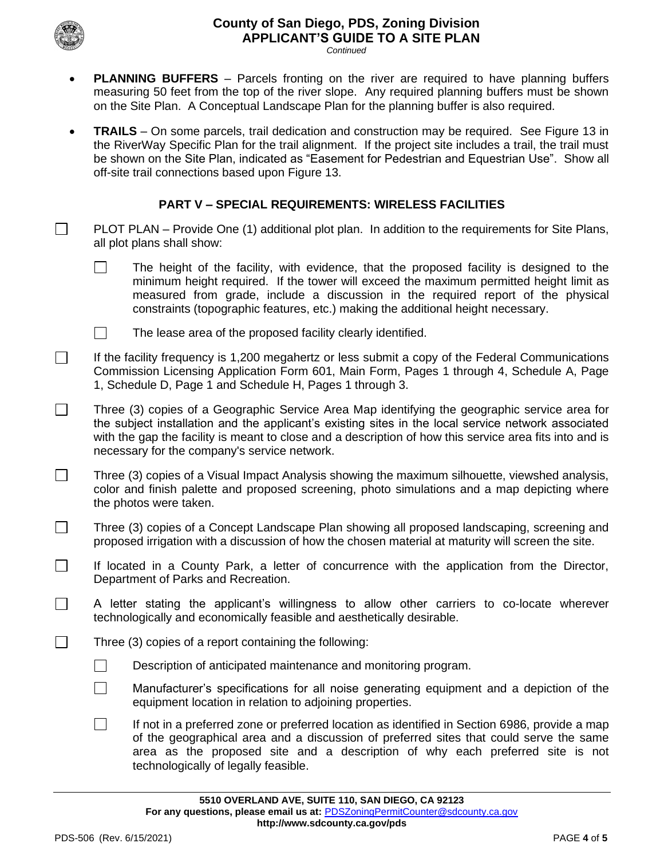

П

 $\Box$ 

 $\sim$ 

 $\Box$ 

П

П

 $\Box$ 

П

# **County of San Diego, PDS, Zoning Division APPLICANT'S GUIDE TO A SITE PLAN**

*Continued*

- **PLANNING BUFFERS** Parcels fronting on the river are required to have planning buffers measuring 50 feet from the top of the river slope. Any required planning buffers must be shown on the Site Plan. A Conceptual Landscape Plan for the planning buffer is also required.
- **TRAILS** On some parcels, trail dedication and construction may be required. See Figure 13 in the RiverWay Specific Plan for the trail alignment. If the project site includes a trail, the trail must be shown on the Site Plan, indicated as "Easement for Pedestrian and Equestrian Use". Show all off-site trail connections based upon Figure 13.

### **PART V – SPECIAL REQUIREMENTS: WIRELESS FACILITIES**

PLOT PLAN – Provide One (1) additional plot plan. In addition to the requirements for Site Plans, all plot plans shall show:

- $\Box$ The height of the facility, with evidence, that the proposed facility is designed to the minimum height required. If the tower will exceed the maximum permitted height limit as measured from grade, include a discussion in the required report of the physical constraints (topographic features, etc.) making the additional height necessary.
- $\Box$ The lease area of the proposed facility clearly identified.

If the facility frequency is 1,200 megahertz or less submit a copy of the Federal Communications Commission Licensing Application Form 601, Main Form, Pages 1 through 4, Schedule A, Page 1, Schedule D, Page 1 and Schedule H, Pages 1 through 3.

Three (3) copies of a Geographic Service Area Map identifying the geographic service area for the subject installation and the applicant's existing sites in the local service network associated with the gap the facility is meant to close and a description of how this service area fits into and is necessary for the company's service network.

Three (3) copies of a Visual Impact Analysis showing the maximum silhouette, viewshed analysis, color and finish palette and proposed screening, photo simulations and a map depicting where the photos were taken.

Three (3) copies of a Concept Landscape Plan showing all proposed landscaping, screening and proposed irrigation with a discussion of how the chosen material at maturity will screen the site.

If located in a County Park, a letter of concurrence with the application from the Director, Department of Parks and Recreation.

A letter stating the applicant's willingness to allow other carriers to co-locate wherever technologically and economically feasible and aesthetically desirable.

- Three (3) copies of a report containing the following:
- П Description of anticipated maintenance and monitoring program.
- $\Box$ Manufacturer's specifications for all noise generating equipment and a depiction of the equipment location in relation to adjoining properties.
- If not in a preferred zone or preferred location as identified in Section 6986, provide a map  $\Box$ of the geographical area and a discussion of preferred sites that could serve the same area as the proposed site and a description of why each preferred site is not technologically of legally feasible.